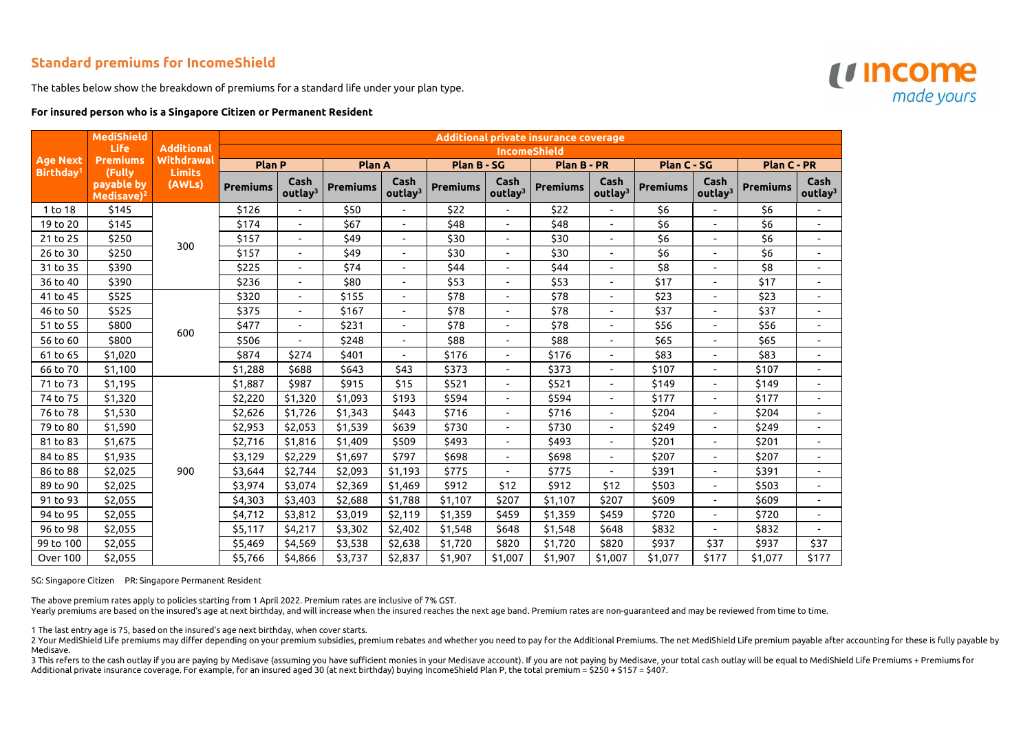## **Standard premiums for IncomeShield**

The tables below show the breakdown of premiums for a standard life under your plan type.

## **For insured person who is a Singapore Citizen or Permanent Resident**

|                                          | <b>MediShield</b><br><b>Life</b><br><b>Premiums</b><br>(Fully | <b>Additional</b><br>Withdrawal<br><b>Limits</b> | Additional private insurance coverage |                             |                 |                             |                 |                             |                 |                             |                 |                             |                 |                             |
|------------------------------------------|---------------------------------------------------------------|--------------------------------------------------|---------------------------------------|-----------------------------|-----------------|-----------------------------|-----------------|-----------------------------|-----------------|-----------------------------|-----------------|-----------------------------|-----------------|-----------------------------|
|                                          |                                                               |                                                  | <b>IncomeShield</b>                   |                             |                 |                             |                 |                             |                 |                             |                 |                             |                 |                             |
| <b>Age Next</b><br>Birthday <sup>1</sup> |                                                               |                                                  | <b>Plan P</b>                         |                             | Plan A          |                             | Plan B - SG     |                             | Plan B - PR     |                             | Plan C - SG     |                             | Plan C - PR     |                             |
|                                          | payable by<br>Medisave) <sup>2</sup>                          | (AWLs)                                           | <b>Premiums</b>                       | Cash<br>outlay <sup>3</sup> | <b>Premiums</b> | Cash<br>outlay <sup>3</sup> | <b>Premiums</b> | Cash<br>outlay <sup>3</sup> | <b>Premiums</b> | Cash<br>outlay <sup>3</sup> | <b>Premiums</b> | Cash<br>outlay <sup>3</sup> | <b>Premiums</b> | Cash<br>outlay <sup>3</sup> |
| 1 to 18                                  | \$145                                                         | 300                                              | \$126                                 |                             | \$50            |                             | \$22            |                             | \$22            |                             | \$6             |                             | \$6             |                             |
| 19 to 20                                 | \$145                                                         |                                                  | \$174                                 | $\sim$                      | \$67            | $\blacksquare$              | \$48            | $\blacksquare$              | \$48            | $\overline{\phantom{a}}$    | \$6             |                             | \$6             | $\sim$                      |
| 21 to 25                                 | \$250                                                         |                                                  | \$157                                 |                             | \$49            | $\blacksquare$              | \$30            |                             | \$30            |                             | \$6             |                             | \$6             |                             |
| 26 to 30                                 | \$250                                                         |                                                  | \$157                                 | $\sim$                      | \$49            | $\blacksquare$              | \$30            | $\overline{\phantom{a}}$    | \$30            |                             | \$6             | $\overline{\phantom{a}}$    | \$6             |                             |
| 31 to 35                                 | \$390                                                         |                                                  | \$225                                 |                             | \$74            | $\blacksquare$              | \$44            |                             | \$44            |                             | \$8             |                             | \$8             |                             |
| 36 to 40                                 | \$390                                                         |                                                  | \$236                                 | $\sim$                      | \$80            | $\blacksquare$              | \$53            | $\overline{\phantom{0}}$    | \$53            | $\overline{\phantom{a}}$    | \$17            | $\overline{\phantom{a}}$    | \$17            | $\blacksquare$              |
| 41 to 45                                 | \$525                                                         |                                                  | \$320                                 |                             | \$155           | $\overline{\phantom{a}}$    | \$78            |                             | \$78            |                             | \$23            |                             | \$23            |                             |
| 46 to 50                                 | \$525                                                         | 600                                              | \$375                                 | $\sim$                      | \$167           | $\overline{\phantom{a}}$    | \$78            | $\overline{\phantom{0}}$    | \$78            | $\overline{\phantom{a}}$    | \$37            | $\overline{\phantom{a}}$    | \$37            |                             |
| 51 to 55                                 | \$800                                                         |                                                  | \$477                                 | $\sim$                      | \$231           | $\overline{\phantom{a}}$    | \$78            |                             | \$78            |                             | \$56            |                             | \$56            |                             |
| 56 to 60                                 | \$800                                                         |                                                  | \$506                                 | $\sim$                      | \$248           | $\blacksquare$              | \$88            | $\overline{\phantom{a}}$    | \$88            | $\overline{\phantom{a}}$    | \$65            | $\blacksquare$              | \$65            |                             |
| 61 to 65                                 | \$1,020                                                       |                                                  | \$874                                 | \$274                       | \$401           |                             | \$176           |                             | \$176           | $\blacksquare$              | \$83            |                             | \$83            |                             |
| 66 to 70                                 | \$1,100                                                       |                                                  | \$1,288                               | \$688                       | \$643           | \$43                        | \$373           |                             | \$373           |                             | \$107           |                             | \$107           |                             |
| 71 to 73                                 | \$1,195                                                       |                                                  | \$1,887                               | \$987                       | \$915           | \$15                        | \$521           |                             | \$521           | $\blacksquare$              | \$149           |                             | \$149           |                             |
| 74 to 75                                 | \$1,320                                                       |                                                  | \$2,220                               | \$1,320                     | \$1,093         | \$193                       | \$594           |                             | \$594           |                             | \$177           |                             | \$177           |                             |
| 76 to 78                                 | \$1,530                                                       |                                                  | \$2,626                               | \$1,726                     | \$1,343         | \$443                       | \$716           | $\overline{\phantom{0}}$    | \$716           | $\blacksquare$              | \$204           |                             | \$204           |                             |
| 79 to 80                                 | \$1,590                                                       |                                                  | \$2,953                               | \$2,053                     | \$1,539         | \$639                       | \$730           | $\overline{\phantom{0}}$    | \$730           |                             | \$249           |                             | \$249           |                             |
| 81 to 83                                 | \$1,675                                                       |                                                  | \$2,716                               | \$1,816                     | \$1,409         | \$509                       | \$493           |                             | \$493           |                             | \$201           |                             | \$201           |                             |
| 84 to 85                                 | \$1,935                                                       | 900                                              | \$3,129                               | \$2,229                     | \$1,697         | \$797                       | \$698           | $\overline{\phantom{a}}$    | \$698           |                             | \$207           |                             | \$207           |                             |
| 86 to 88                                 | \$2,025                                                       |                                                  | \$3,644                               | \$2,744                     | \$2,093         | \$1,193                     | \$775           |                             | \$775           | $\blacksquare$              | \$391           |                             | \$391           |                             |
| 89 to 90                                 | \$2,025                                                       |                                                  | \$3,974                               | \$3,074                     | \$2,369         | \$1,469                     | \$912           | \$12                        | \$912           | \$12                        | \$503           |                             | \$503           |                             |
| 91 to 93                                 | \$2,055                                                       |                                                  | \$4,303                               | \$3,403                     | \$2,688         | \$1,788                     | \$1,107         | \$207                       | \$1,107         | \$207                       | \$609           |                             | \$609           |                             |
| 94 to 95                                 | \$2,055                                                       |                                                  | \$4,712                               | \$3,812                     | \$3,019         | \$2,119                     | \$1,359         | \$459                       | \$1,359         | \$459                       | \$720           |                             | \$720           |                             |
| 96 to 98                                 | \$2,055                                                       |                                                  | \$5,117                               | \$4,217                     | \$3,302         | \$2,402                     | \$1,548         | \$648                       | \$1,548         | \$648                       | \$832           |                             | \$832           |                             |
| 99 to 100                                | \$2,055                                                       |                                                  | \$5,469                               | \$4,569                     | \$3,538         | \$2,638                     | \$1,720         | \$820                       | \$1,720         | \$820                       | \$937           | \$37                        | \$937           | \$37                        |
| Over 100                                 | \$2,055                                                       |                                                  | \$5,766                               | \$4,866                     | \$3,737         | \$2,837                     | \$1,907         | \$1,007                     | \$1,907         | \$1,007                     | \$1,077         | \$177                       | \$1,077         | \$177                       |

SG: Singapore Citizen PR: Singapore Permanent Resident

The above premium rates apply to policies starting from 1 April 2022. Premium rates are inclusive of 7% GST.

Yearly premiums are based on the insured's age at next birthday, and will increase when the insured reaches the next age band. Premium rates are non-guaranteed and may be reviewed from time to time.

1 The last entry age is 75, based on the insured's age next birthday, when cover starts.

2 Your MediShield Life premiums may differ depending on your premium subsidies, premium rebates and whether you need to pay for the Additional Premiums. The net MediShield Life premium payable after accounting for these is Medisave. 3 This refers to the cash outlay if you are paying by Medisave (assuming you have sufficient monies in your Medisave account). If you are not paying by Medisave, your total cash outlay will be equal to MediShield Life Prem

Additional private insurance coverage. For example, for an insured aged 30 (at next birthday) buying IncomeShield Plan P, the total premium = \$250 + \$157 = \$407.